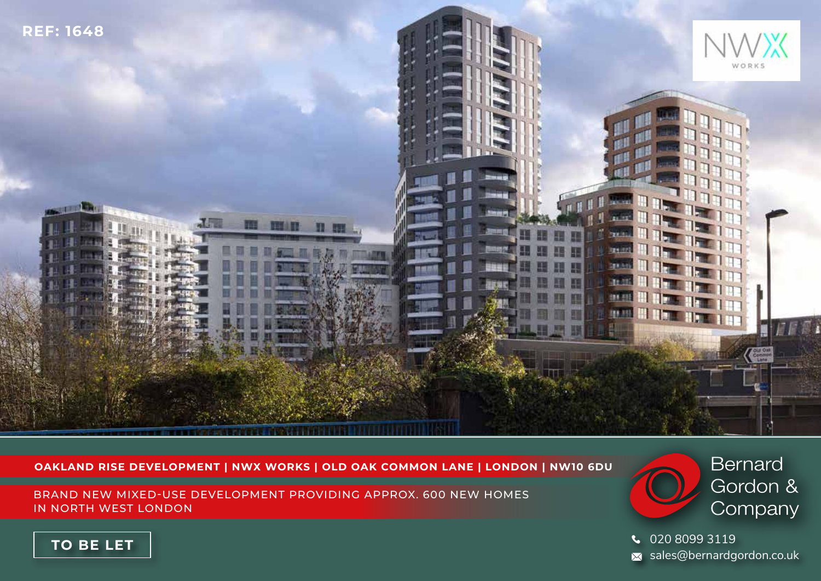

### **OAKLAND RISE DEVELOPMENT | NWX WORKS | OLD OAK COMMON LANE | LONDON | NW10 6DU**

BRAND NEW MIXED-USE DEVELOPMENT PROVIDING APPROX. 600 NEW HOMES IN NORTH WEST LONDON



020 8099 3119  $\overline{\mathsf{x}}$  sales@bernardgordon.co.uk

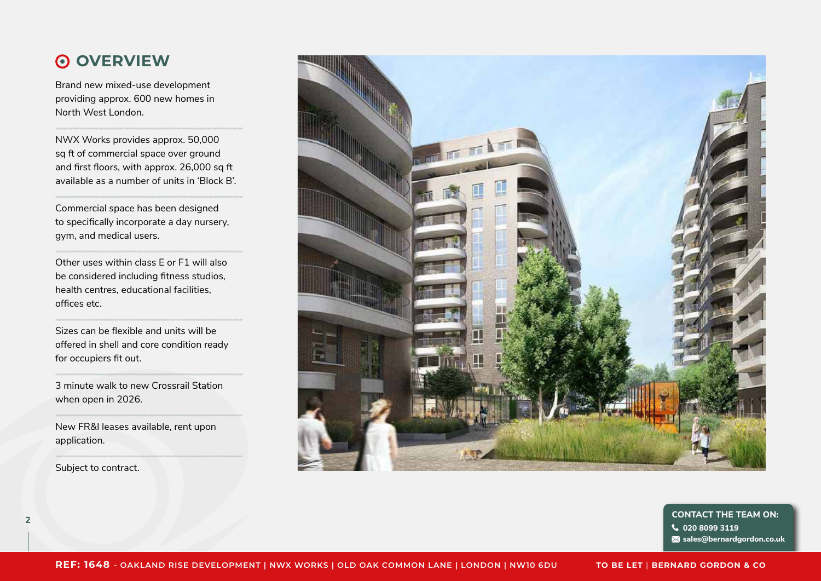### **OVERVIEW**

Brand new mixed-use development providing approx. 600 new homes in North West London.

NWX Works provides approx. 50,000 sq ft of commercial space over ground and first floors, with approx. 26,000 sq ft available as a number of units in 'Block B'.

Commercial space has been designed to specifically incorporate a day nursery, gym, and medical users.

Other uses within class E or F1 will also be considered including fitness studios, health centres, educational facilities, offices etc.

Sizes can be flexible and units will be offered in shell and core condition ready for occupiers fit out.

3 minute walk to new Crossrail Station when open in 2026.

New FR&I leases available, rent upon application.

Subject to contract.



**<sup>2</sup> CONTACT THE TEAM ON: 020 8099 3119 sales@bernardgordon.co.uk**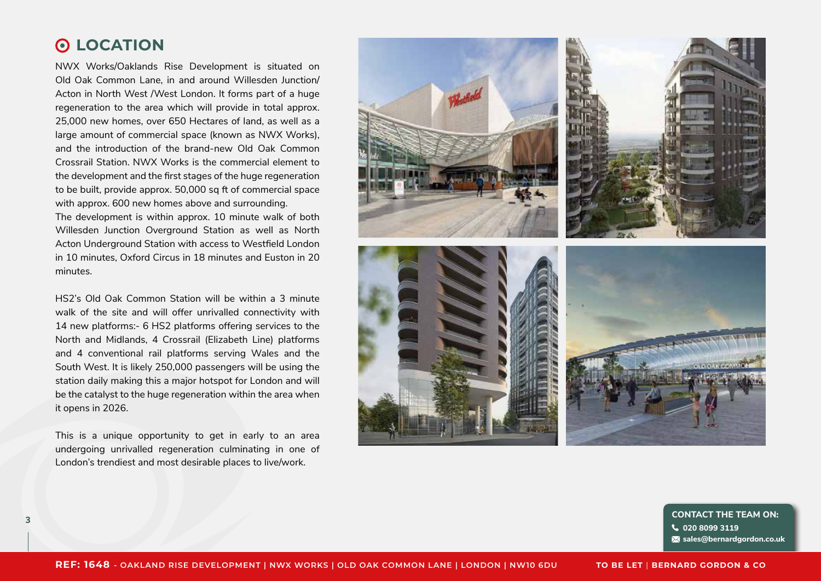### **LOCATION**

NWX Works/Oaklands Rise Development is situated on Old Oak Common Lane, in and around Willesden Junction/ Acton in North West /West London. It forms part of a huge regeneration to the area which will provide in total approx. 25,000 new homes, over 650 Hectares of land, as well as a large amount of commercial space (known as NWX Works), and the introduction of the brand-new Old Oak Common Crossrail Station. NWX Works is the commercial element to the development and the first stages of the huge regeneration to be built, provide approx. 50,000 sq ft of commercial space with approx. 600 new homes above and surrounding.

The development is within approx. 10 minute walk of both Willesden Junction Overground Station as well as North Acton Underground Station with access to Westfield London in 10 minutes, Oxford Circus in 18 minutes and Euston in 20 minutes.

HS2's Old Oak Common Station will be within a 3 minute walk of the site and will offer unrivalled connectivity with 14 new platforms:- 6 HS2 platforms offering services to the North and Midlands, 4 Crossrail (Elizabeth Line) platforms and 4 conventional rail platforms serving Wales and the South West. It is likely 250,000 passengers will be using the station daily making this a major hotspot for London and will be the catalyst to the huge regeneration within the area when it opens in 2026.

This is a unique opportunity to get in early to an area undergoing unrivalled regeneration culminating in one of London's trendiest and most desirable places to live/work.



**<sup>3</sup> CONTACT THE TEAM ON: 020 8099 3119 sales@bernardgordon.co.uk**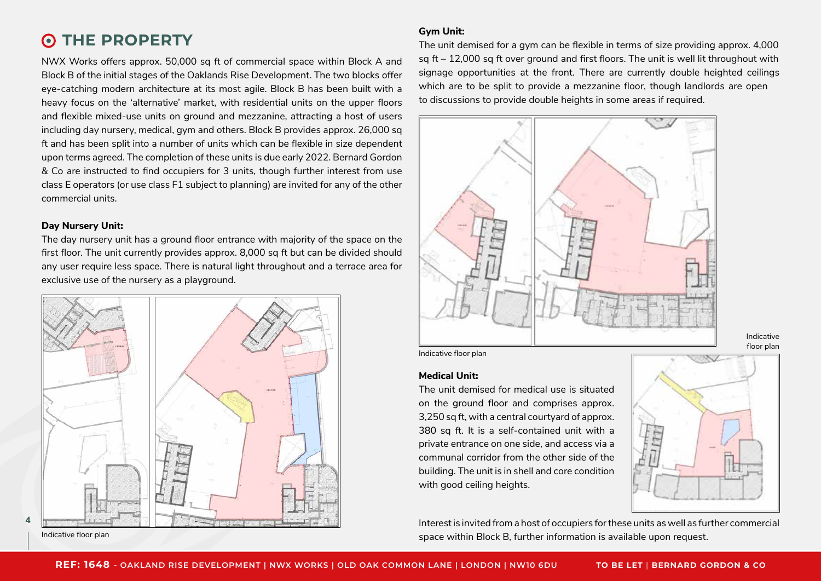## **O THE PROPERTY**

NWX Works offers approx. 50,000 sq ft of commercial space within Block A and Block B of the initial stages of the Oaklands Rise Development. The two blocks offer eye-catching modern architecture at its most agile. Block B has been built with a heavy focus on the 'alternative' market, with residential units on the upper floors and flexible mixed-use units on ground and mezzanine, attracting a host of users including day nursery, medical, gym and others. Block B provides approx. 26,000 sq ft and has been split into a number of units which can be flexible in size dependent upon terms agreed. The completion of these units is due early 2022. Bernard Gordon & Co are instructed to find occupiers for 3 units, though further interest from use class E operators (or use class F1 subject to planning) are invited for any of the other commercial units.

### **Day Nursery Unit:**

The day nursery unit has a ground floor entrance with majority of the space on the first floor. The unit currently provides approx. 8,000 sq ft but can be divided should any user require less space. There is natural light throughout and a terrace area for exclusive use of the nursery as a playground.



**4**

**Gym Unit:**

The unit demised for a gym can be flexible in terms of size providing approx. 4,000 sq  $ft - 12,000$  sq ft over ground and first floors. The unit is well lit throughout with signage opportunities at the front. There are currently double heighted ceilings which are to be split to provide a mezzanine floor, though landlords are open to discussions to provide double heights in some areas if required.



Indicative floor plan

#### **Medical Unit:**

The unit demised for medical use is situated on the ground floor and comprises approx. 3,250 sq ft, with a central courtyard of approx. 380 sq ft. It is a self-contained unit with a private entrance on one side, and access via a communal corridor from the other side of the building. The unit is in shell and core condition with good ceiling heights.



Indicative floor plan

Interest is invited from a host of occupiers for these units as well as further commercial space within Block B, further information is available upon request. Indicative floor plan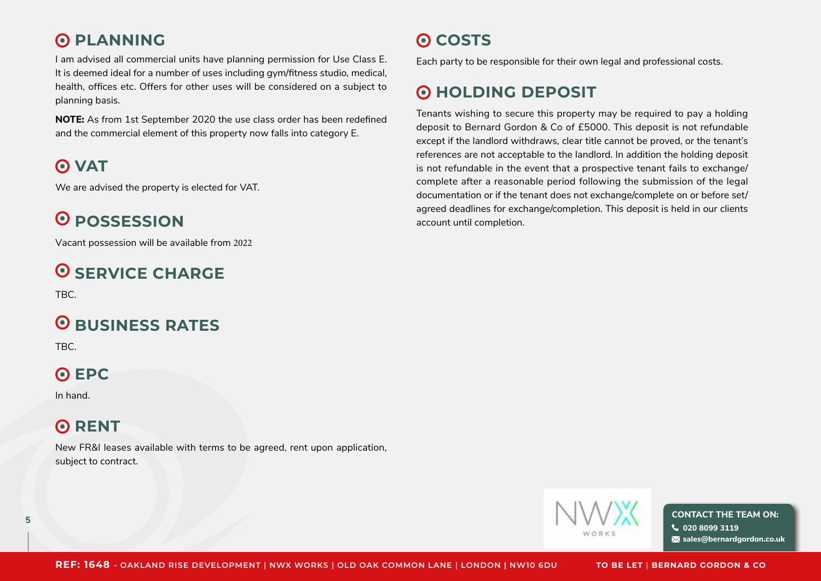## **PLANNING**

I am advised all commercial units have planning permission for Use Class E. It is deemed ideal for a number of uses including gym/fitness studio, medical, health, offices etc. Offers for other uses will be considered on a subject to planning basis.

**NOTE:** As from 1st September 2020 the use class order has been redefined and the commercial element of this property now falls into category E.

# **VAT**

We are advised the property is elected for VAT.

# **POSSESSION**

Vacant possession will be available from 2022

# **O SERVICE CHARGE**

TBC.

# **O** BUSINESS RATES

TBC.

# **EPC**

In hand.

# **O** RENT

New FR&I leases available with terms to be agreed, rent upon application, subject to contract.

# **COSTS**

Each party to be responsible for their own legal and professional costs.

# **O HOLDING DEPOSIT**

Tenants wishing to secure this property may be required to pay a holding deposit to Bernard Gordon & Co of £5000. This deposit is not refundable except if the landlord withdraws, clear title cannot be proved, or the tenant's references are not acceptable to the landlord. In addition the holding deposit is not refundable in the event that a prospective tenant fails to exchange/ complete after a reasonable period following the submission of the legal documentation or if the tenant does not exchange/complete on or before set/ agreed deadlines for exchange/completion. This deposit is held in our clients account until completion.



 $\mathbf{S}$  **CONTACT THE TEAM ON: 020 8099 3119 sales@bernardgordon.co.uk**